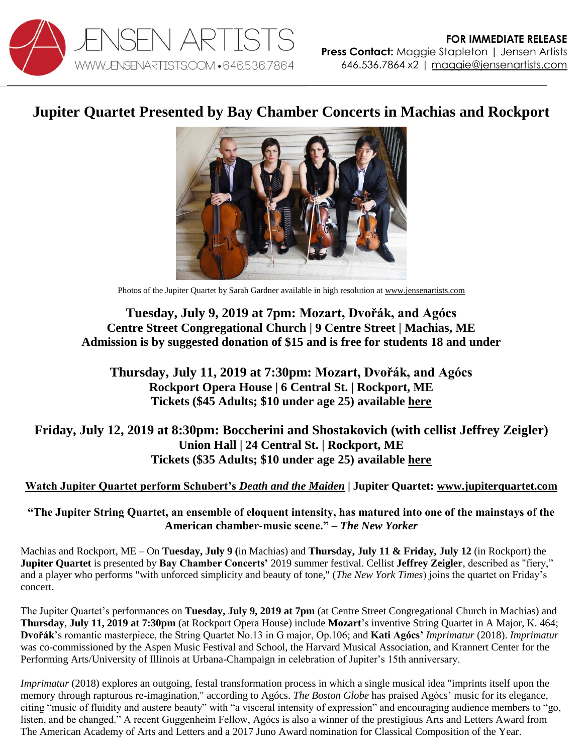

## **Jupiter Quartet Presented by Bay Chamber Concerts in Machias and Rockport**



Photos of the Jupiter Quartet by Sarah Gardner available in high resolution a[t www.jensenartists.com](http://www.jensenartists.com/)

## **Tuesday, July 9, 2019 at 7pm: Mozart, Dvořák, and Agócs Centre Street Congregational Church | 9 Centre Street | Machias, ME Admission is by suggested donation of \$15 and is free for students 18 and under**

**Thursday, July 11, 2019 at 7:30pm: Mozart, Dvořák, and Agócs Rockport Opera House | 6 Central St. | Rockport, ME Tickets (\$45 Adults; \$10 under age 25) available [here](https://www.baychamberconcerts.org/events/event/jupiter-string-quartet-imprimatur/)**

## **Friday, July 12, 2019 at 8:30pm: Boccherini and Shostakovich (with cellist Jeffrey Zeigler) Union Hall | 24 Central St. | Rockport, ME Tickets (\$35 Adults; \$10 under age 25) available [here](https://www.baychamberconcerts.org/events/event/a-cyclic-expedition/)**

## **[Watch Jupiter Quartet perform Schubert's](https://vimeo.com/115453429)** *Death and the Maiden* **| Jupiter Quartet: [www.jupiterquartet.com](http://www.jupiterquartet.com/)**

**"The Jupiter String Quartet, an ensemble of eloquent intensity, has matured into one of the mainstays of the American chamber-music scene." –** *The New Yorker*

Machias and Rockport, ME – On **Tuesday, July 9 (**in Machias) and **Thursday, July 11 & Friday, July 12** (in Rockport) the **Jupiter Quartet** is presented by **Bay Chamber Concerts'** 2019 summer festival. Cellist **Jeffrey Zeigler**, described as "fiery," and a player who performs "with unforced simplicity and beauty of tone," (*The New York Times*) joins the quartet on Friday's concert.

The Jupiter Quartet's performances on **Tuesday, July 9, 2019 at 7pm** (at Centre Street Congregational Church in Machias) and **Thursday**, **July 11, 2019 at 7:30pm** (at Rockport Opera House) include **Mozart**'s inventive String Quartet in A Major, K. 464; **Dvořák**'s romantic masterpiece, the String Quartet No.13 in G major, Op.106; and **Kati Agócs'** *Imprimatur* (2018). *Imprimatur* was co-commissioned by the Aspen Music Festival and School, the Harvard Musical Association, and Krannert Center for the Performing Arts/University of Illinois at Urbana-Champaign in celebration of Jupiter's 15th anniversary.

*Imprimatur* (2018) explores an outgoing, festal transformation process in which a single musical idea "imprints itself upon the memory through rapturous re-imagination," according to Agócs. *The Boston Globe* has praised Agócs' music for its elegance, citing "music of fluidity and austere beauty" with "a visceral intensity of expression" and encouraging audience members to "go, listen, and be changed." A recent Guggenheim Fellow, Agócs is also a winner of the prestigious Arts and Letters Award from The American Academy of Arts and Letters and a 2017 Juno Award nomination for Classical Composition of the Year.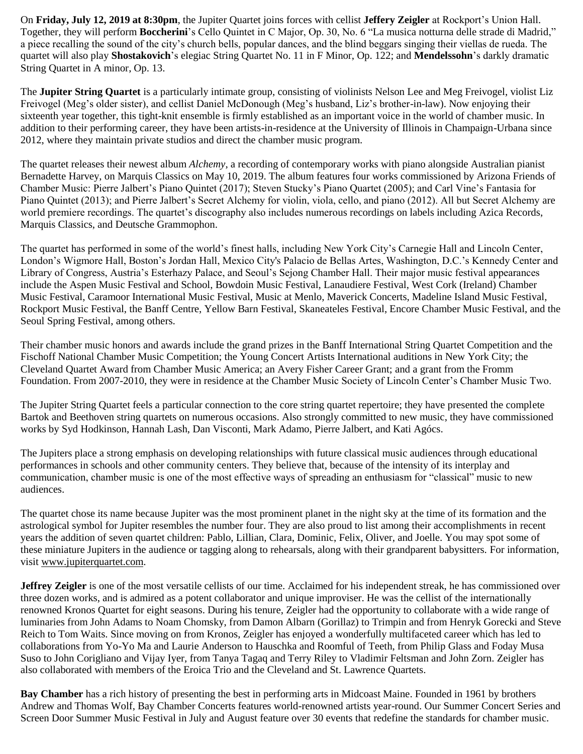On **Friday, July 12, 2019 at 8:30pm**, the Jupiter Quartet joins forces with cellist **Jeffery Zeigler** at Rockport's Union Hall. Together, they will perform **Boccherini**'s Cello Quintet in C Major, Op. 30, No. 6 "La musica notturna delle strade di Madrid," a piece recalling the sound of the city's church bells, popular dances, and the blind beggars singing their viellas de rueda. The quartet will also play **Shostakovich**'s elegiac String Quartet No. 11 in F Minor, Op. 122; and **Mendelssohn**'s darkly dramatic String Quartet in A minor, Op. 13.

The **Jupiter String Quartet** is a particularly intimate group, consisting of violinists Nelson Lee and Meg Freivogel, violist Liz Freivogel (Meg's older sister), and cellist Daniel McDonough (Meg's husband, Liz's brother-in-law). Now enjoying their sixteenth year together, this tight-knit ensemble is firmly established as an important voice in the world of chamber music. In addition to their performing career, they have been artists-in-residence at the University of Illinois in Champaign-Urbana since 2012, where they maintain private studios and direct the chamber music program.

The quartet releases their newest album *Alchemy*, a recording of contemporary works with piano alongside Australian pianist Bernadette Harvey, on Marquis Classics on May 10, 2019. The album features four works commissioned by Arizona Friends of Chamber Music: Pierre Jalbert's Piano Quintet (2017); Steven Stucky's Piano Quartet (2005); and Carl Vine's Fantasia for Piano Quintet (2013); and Pierre Jalbert's Secret Alchemy for violin, viola, cello, and piano (2012). All but Secret Alchemy are world premiere recordings. The quartet's discography also includes numerous recordings on labels including Azica Records, Marquis Classics, and Deutsche Grammophon.

The quartet has performed in some of the world's finest halls, including New York City's Carnegie Hall and Lincoln Center, London's Wigmore Hall, Boston's Jordan Hall, Mexico City's Palacio de Bellas Artes, Washington, D.C.'s Kennedy Center and Library of Congress, Austria's Esterhazy Palace, and Seoul's Sejong Chamber Hall. Their major music festival appearances include the Aspen Music Festival and School, Bowdoin Music Festival, Lanaudiere Festival, West Cork (Ireland) Chamber Music Festival, Caramoor International Music Festival, Music at Menlo, Maverick Concerts, Madeline Island Music Festival, Rockport Music Festival, the Banff Centre, Yellow Barn Festival, Skaneateles Festival, Encore Chamber Music Festival, and the Seoul Spring Festival, among others.

Their chamber music honors and awards include the grand prizes in the Banff International String Quartet Competition and the Fischoff National Chamber Music Competition; the Young Concert Artists International auditions in New York City; the Cleveland Quartet Award from Chamber Music America; an Avery Fisher Career Grant; and a grant from the Fromm Foundation. From 2007-2010, they were in residence at the Chamber Music Society of Lincoln Center's Chamber Music Two.

The Jupiter String Quartet feels a particular connection to the core string quartet repertoire; they have presented the complete Bartok and Beethoven string quartets on numerous occasions. Also strongly committed to new music, they have commissioned works by Syd Hodkinson, Hannah Lash, Dan Visconti, Mark Adamo, Pierre Jalbert, and Kati Agócs.

The Jupiters place a strong emphasis on developing relationships with future classical music audiences through educational performances in schools and other community centers. They believe that, because of the intensity of its interplay and communication, chamber music is one of the most effective ways of spreading an enthusiasm for "classical" music to new audiences.

The quartet chose its name because Jupiter was the most prominent planet in the night sky at the time of its formation and the astrological symbol for Jupiter resembles the number four. They are also proud to list among their accomplishments in recent years the addition of seven quartet children: Pablo, Lillian, Clara, Dominic, Felix, Oliver, and Joelle. You may spot some of these miniature Jupiters in the audience or tagging along to rehearsals, along with their grandparent babysitters. For information, visit [www.jupiterquartet.com.](http://www.jupiterquartet.com/)

**Jeffrey Zeigler** is one of the most versatile cellists of our time. Acclaimed for his independent streak, he has commissioned over three dozen works, and is admired as a potent collaborator and unique improviser. He was the cellist of the internationally renowned Kronos Quartet for eight seasons. During his tenure, Zeigler had the opportunity to collaborate with a wide range of luminaries from John Adams to Noam Chomsky, from Damon Albarn (Gorillaz) to Trimpin and from Henryk Gorecki and Steve Reich to Tom Waits. Since moving on from Kronos, Zeigler has enjoyed a wonderfully multifaceted career which has led to collaborations from Yo-Yo Ma and Laurie Anderson to Hauschka and Roomful of Teeth, from Philip Glass and Foday Musa Suso to John Corigliano and Vijay Iyer, from Tanya Tagaq and Terry Riley to Vladimir Feltsman and John Zorn. Zeigler has also collaborated with members of the Eroica Trio and the Cleveland and St. Lawrence Quartets.

**Bay Chamber** has a rich history of presenting the best in performing arts in Midcoast Maine. Founded in 1961 by brothers Andrew and Thomas Wolf, Bay Chamber Concerts features world-renowned artists year-round. Our Summer Concert Series and Screen Door Summer Music Festival in July and August feature over 30 events that redefine the standards for chamber music.